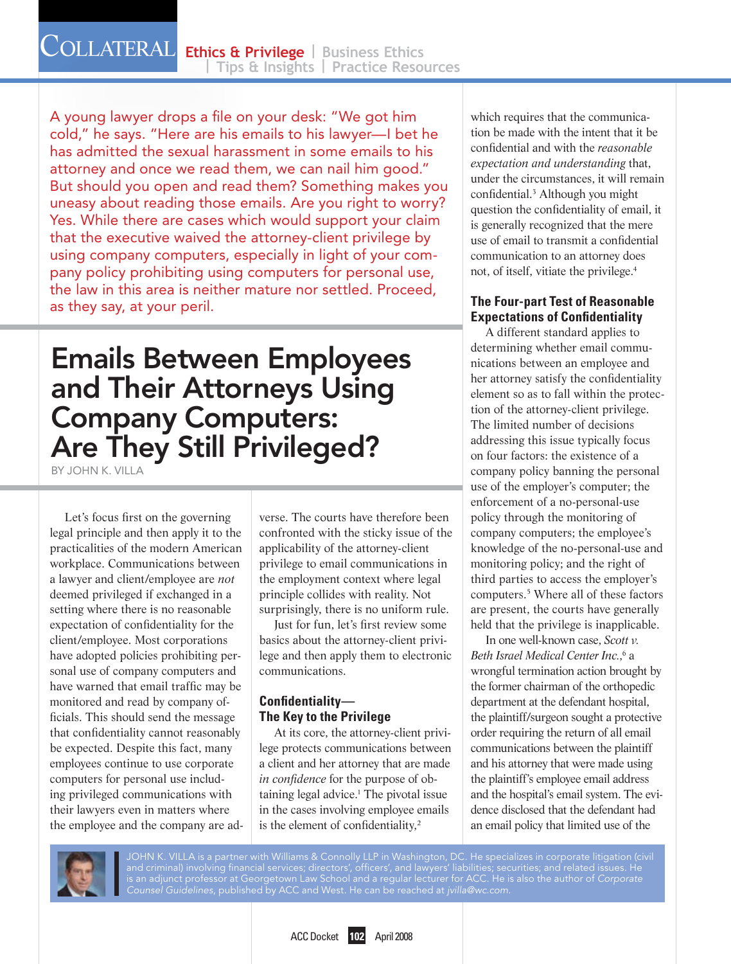A young lawyer drops a file on your desk: "We got him cold," he says. "Here are his emails to his lawyer—I bet he has admitted the sexual harassment in some emails to his attorney and once we read them, we can nail him good." But should you open and read them? Something makes you uneasy about reading those emails. Are you right to worry? Yes. While there are cases which would support your claim that the executive waived the attorney-client privilege by using company computers, especially in light of your company policy prohibiting using computers for personal use, the law in this area is neither mature nor settled. Proceed, as they say, at your peril.

# Emails Between Employees and Their Attorneys Using Company Computers: Are They Still Privileged?

BY JOHN K VII I 4

Let's focus first on the governing legal principle and then apply it to the practicalities of the modern American workplace. Communications between a lawyer and client/employee are *not* deemed privileged if exchanged in a setting where there is no reasonable expectation of confidentiality for the client/employee. Most corporations have adopted policies prohibiting personal use of company computers and have warned that email traffic may be monitored and read by company officials. This should send the message that confidentiality cannot reasonably be expected. Despite this fact, many employees continue to use corporate computers for personal use including privileged communications with their lawyers even in matters where the employee and the company are adverse. The courts have therefore been confronted with the sticky issue of the applicability of the attorney-client privilege to email communications in the employment context where legal principle collides with reality. Not surprisingly, there is no uniform rule.

Just for fun, let's first review some basics about the attorney-client privilege and then apply them to electronic communications.

## **Confidentiality— The Key to the Privilege**

At its core, the attorney-client privilege protects communications between a client and her attorney that are made *in confidence* for the purpose of obtaining legal advice.<sup>1</sup> The pivotal issue in the cases involving employee emails is the element of confidentiality,<sup>2</sup>

which requires that the communication be made with the intent that it be confidential and with the *reasonable expectation and understanding* that, under the circumstances, it will remain confidential.3 Although you might question the confidentiality of email, it is generally recognized that the mere use of email to transmit a confidential communication to an attorney does not, of itself, vitiate the privilege.4

## **The Four-part Test of Reasonable Expectations of Confidentiality**

A different standard applies to determining whether email communications between an employee and her attorney satisfy the confidentiality element so as to fall within the protection of the attorney-client privilege. The limited number of decisions addressing this issue typically focus on four factors: the existence of a company policy banning the personal use of the employer's computer; the enforcement of a no-personal-use policy through the monitoring of company computers; the employee's knowledge of the no-personal-use and monitoring policy; and the right of third parties to access the employer's computers.5 Where all of these factors are present, the courts have generally held that the privilege is inapplicable.

In one well-known case, *Scott v.*  Beth Israel Medical Center Inc.,<sup>6</sup> a wrongful termination action brought by the former chairman of the orthopedic department at the defendant hospital, the plaintiff/surgeon sought a protective order requiring the return of all email communications between the plaintiff and his attorney that were made using the plaintiff's employee email address and the hospital's email system. The evidence disclosed that the defendant had an email policy that limited use of the



JOHN K. VILLA is a partner with Williams & Connolly LLP in Washington, DC. He specializes in corporate litigation (civil and criminal) involving financial services; directors', officers', and lawyers' liabilities; securities; and related issues. He is an adjunct professor at Georgetown Law School and a regular lecturer for ACC. He is also the author of *Corporate Counsel Guidelines*, published by ACC and West. He can be reached at *jvilla@wc.com*.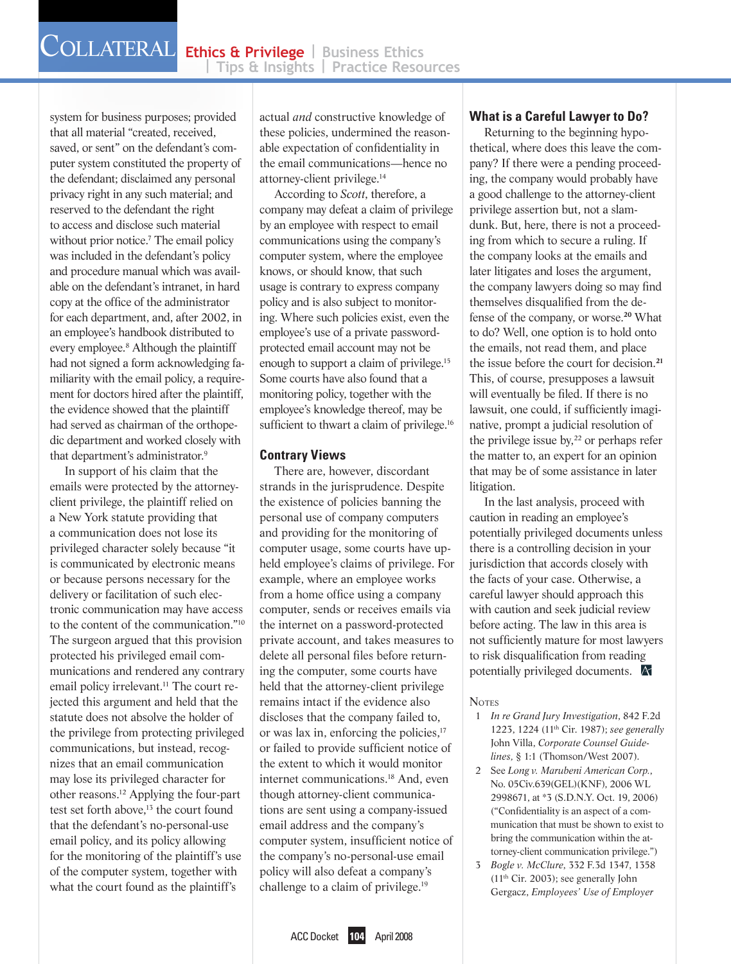system for business purposes; provided that all material "created, received, saved, or sent" on the defendant's computer system constituted the property of the defendant; disclaimed any personal privacy right in any such material; and reserved to the defendant the right to access and disclose such material without prior notice.<sup>7</sup> The email policy was included in the defendant's policy and procedure manual which was available on the defendant's intranet, in hard copy at the office of the administrator for each department, and, after 2002, in an employee's handbook distributed to every employee.<sup>8</sup> Although the plaintiff had not signed a form acknowledging familiarity with the email policy, a requirement for doctors hired after the plaintiff, the evidence showed that the plaintiff had served as chairman of the orthopedic department and worked closely with that department's administrator.9

In support of his claim that the emails were protected by the attorneyclient privilege, the plaintiff relied on a New York statute providing that a communication does not lose its privileged character solely because "it is communicated by electronic means or because persons necessary for the delivery or facilitation of such electronic communication may have access to the content of the communication."10 The surgeon argued that this provision protected his privileged email communications and rendered any contrary email policy irrelevant.<sup>11</sup> The court rejected this argument and held that the statute does not absolve the holder of the privilege from protecting privileged communications, but instead, recognizes that an email communication may lose its privileged character for other reasons.12 Applying the four-part test set forth above,<sup>13</sup> the court found that the defendant's no-personal-use email policy, and its policy allowing for the monitoring of the plaintiff's use of the computer system, together with what the court found as the plaintiff's

actual *and* constructive knowledge of these policies, undermined the reasonable expectation of confidentiality in the email communications—hence no attorney-client privilege.14

According to *Scott*, therefore, a company may defeat a claim of privilege by an employee with respect to email communications using the company's computer system, where the employee knows, or should know, that such usage is contrary to express company policy and is also subject to monitoring. Where such policies exist, even the employee's use of a private passwordprotected email account may not be enough to support a claim of privilege.15 Some courts have also found that a monitoring policy, together with the employee's knowledge thereof, may be sufficient to thwart a claim of privilege.<sup>16</sup>

#### **Contrary Views**

There are, however, discordant strands in the jurisprudence. Despite the existence of policies banning the personal use of company computers and providing for the monitoring of computer usage, some courts have upheld employee's claims of privilege. For example, where an employee works from a home office using a company computer, sends or receives emails via the internet on a password-protected private account, and takes measures to delete all personal files before returning the computer, some courts have held that the attorney-client privilege remains intact if the evidence also discloses that the company failed to, or was lax in, enforcing the policies,<sup>17</sup> or failed to provide sufficient notice of the extent to which it would monitor internet communications.18 And, even though attorney-client communications are sent using a company-issued email address and the company's computer system, insufficient notice of the company's no-personal-use email policy will also defeat a company's challenge to a claim of privilege.19

### **What is a Careful Lawyer to Do?**

Returning to the beginning hypothetical, where does this leave the company? If there were a pending proceeding, the company would probably have a good challenge to the attorney-client privilege assertion but, not a slamdunk. But, here, there is not a proceeding from which to secure a ruling. If the company looks at the emails and later litigates and loses the argument, the company lawyers doing so may find themselves disqualified from the defense of the company, or worse.**20** What to do? Well, one option is to hold onto the emails, not read them, and place the issue before the court for decision.**<sup>21</sup>** This, of course, presupposes a lawsuit will eventually be filed. If there is no lawsuit, one could, if sufficiently imaginative, prompt a judicial resolution of the privilege issue by, $^{22}$  or perhaps refer the matter to, an expert for an opinion that may be of some assistance in later litigation.

In the last analysis, proceed with caution in reading an employee's potentially privileged documents unless there is a controlling decision in your jurisdiction that accords closely with the facts of your case. Otherwise, a careful lawyer should approach this with caution and seek judicial review before acting. The law in this area is not sufficiently mature for most lawyers to risk disqualification from reading potentially privileged documents.

#### **Notes**

- 1 *In re Grand Jury Investigation*, 842 F.2d 1223, 1224 (11th Cir. 1987); *see generally*  John Villa, *Corporate Counsel Guidelines,* § 1:1 (Thomson/West 2007).
- 2 See *Long v. Marubeni American Corp.*, No. 05Civ.639(GEL)(KNF), 2006 WL 2998671, at \*3 (S.D.N.Y. Oct. 19, 2006) ("Confidentiality is an aspect of a communication that must be shown to exist to bring the communication within the attorney-client communication privilege.")
- 3 *Bogle v. McClure*, 332 F.3d 1347, 1358 (11th Cir. 2003); see generally John Gergacz, *Employees' Use of Employer*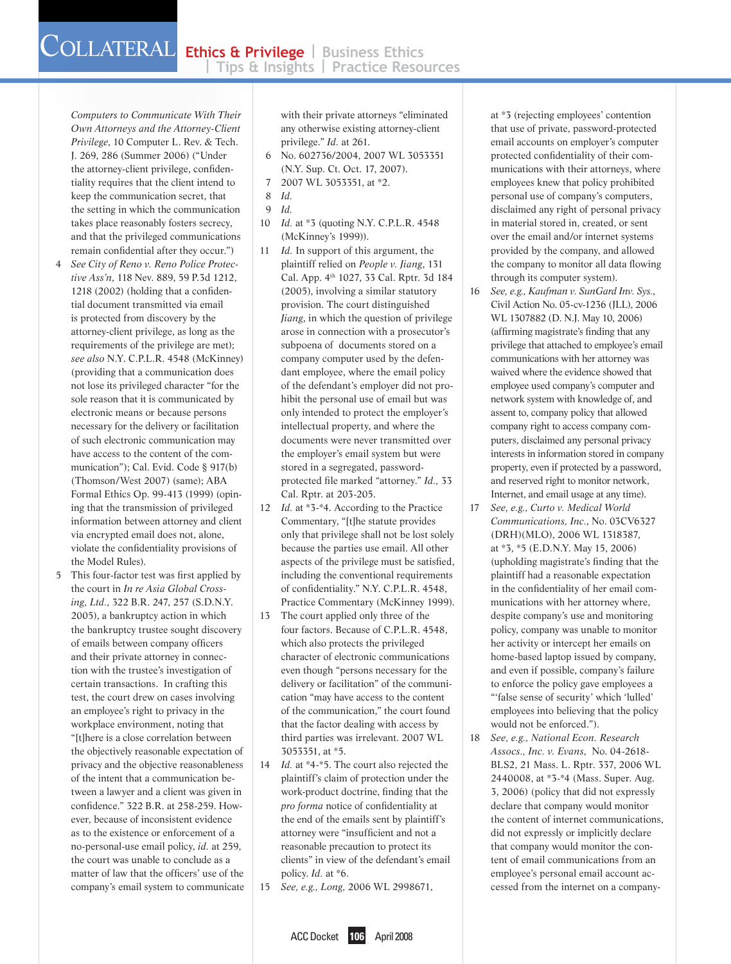*Computers to Communicate With Their Own Attorneys and the Attorney-Client Privilege*, 10 Computer L. Rev. & Tech. J. 269, 286 (Summer 2006) ("Under the attorney-client privilege, confidentiality requires that the client intend to keep the communication secret, that the setting in which the communication takes place reasonably fosters secrecy, and that the privileged communications remain confidential after they occur.")

- 4 *See City of Reno v. Reno Police Protective Ass'n*, 118 Nev. 889, 59 P.3d 1212, 1218 (2002) (holding that a confidential document transmitted via email is protected from discovery by the attorney-client privilege, as long as the requirements of the privilege are met); *see also* N.Y. C.P.L.R. 4548 (McKinney) (providing that a communication does not lose its privileged character "for the sole reason that it is communicated by electronic means or because persons necessary for the delivery or facilitation of such electronic communication may have access to the content of the communication"); Cal. Evid. Code § 917(b) (Thomson/West 2007) (same); ABA Formal Ethics Op. 99-413 (1999) (opining that the transmission of privileged information between attorney and client via encrypted email does not, alone, violate the confidentiality provisions of the Model Rules).
- 5 This four-factor test was first applied by the court in *In re Asia Global Crossing, Ltd.*, 322 B.R. 247, 257 (S.D.N.Y. 2005), a bankruptcy action in which the bankruptcy trustee sought discovery of emails between company officers and their private attorney in connection with the trustee's investigation of certain transactions. In crafting this test, the court drew on cases involving an employee's right to privacy in the workplace environment, noting that "[t]here is a close correlation between the objectively reasonable expectation of privacy and the objective reasonableness of the intent that a communication between a lawyer and a client was given in confidence." 322 B.R. at 258-259. However, because of inconsistent evidence as to the existence or enforcement of a no-personal-use email policy, *id.* at 259, the court was unable to conclude as a matter of law that the officers' use of the company's email system to communicate

with their private attorneys "eliminated any otherwise existing attorney-client privilege." *Id.* at 261.

- 6 No. 602736/2004, 2007 WL 3053351 (N.Y. Sup. Ct. Oct. 17, 2007).
- 7 2007 WL 3053351, at \*2.
- 8 *Id.*
- 9 *Id.*
- 10 *Id.* at \*3 (quoting N.Y. C.P.L.R. 4548 (McKinney's 1999)).
- 11 *Id.* In support of this argument, the plaintiff relied on *People v. Jiang*, 131 Cal. App. 4<sup>th</sup> 1027, 33 Cal. Rptr. 3d 184 (2005), involving a similar statutory provision. The court distinguished *Jiang*, in which the question of privilege arose in connection with a prosecutor's subpoena of documents stored on a company computer used by the defendant employee, where the email policy of the defendant's employer did not prohibit the personal use of email but was only intended to protect the employer's intellectual property, and where the documents were never transmitted over the employer's email system but were stored in a segregated, passwordprotected file marked "attorney." *Id.,* 33 Cal. Rptr. at 203-205.
- 12 *Id.* at \*3-\*4. According to the Practice Commentary, "[t]he statute provides only that privilege shall not be lost solely because the parties use email. All other aspects of the privilege must be satisfied, including the conventional requirements of confidentiality." N.Y. C.P.L.R. 4548, Practice Commentary (McKinney 1999).
- 13 The court applied only three of the four factors. Because of C.P.L.R. 4548, which also protects the privileged character of electronic communications even though "persons necessary for the delivery or facilitation" of the communication "may have access to the content of the communication," the court found that the factor dealing with access by third parties was irrelevant. 2007 WL 3053351, at \*5.
- 14 *Id.* at \*4-\*5. The court also rejected the plaintiff's claim of protection under the work-product doctrine, finding that the *pro forma* notice of confidentiality at the end of the emails sent by plaintiff's attorney were "insufficient and not a reasonable precaution to protect its clients" in view of the defendant's email policy. *Id.* at \*6.
- 15 *See, e.g., Long,* 2006 WL 2998671,

at \*3 (rejecting employees' contention that use of private, password-protected email accounts on employer's computer protected confidentiality of their communications with their attorneys, where employees knew that policy prohibited personal use of company's computers, disclaimed any right of personal privacy in material stored in, created, or sent over the email and/or internet systems provided by the company, and allowed the company to monitor all data flowing through its computer system).

- 16 *See, e.g., Kaufman v. SunGard Inv. Sys.*, Civil Action No. 05-cv-1236 (JLL), 2006 WL 1307882 (D. N.J. May 10, 2006) (affirming magistrate's finding that any privilege that attached to employee's email communications with her attorney was waived where the evidence showed that employee used company's computer and network system with knowledge of, and assent to, company policy that allowed company right to access company computers, disclaimed any personal privacy interests in information stored in company property, even if protected by a password, and reserved right to monitor network, Internet, and email usage at any time).
- 17 *See, e.g., Curto v. Medical World Communications, Inc.*, No. 03CV6327 (DRH)(MLO), 2006 WL 1318387, at \*3, \*5 (E.D.N.Y. May 15, 2006) (upholding magistrate's finding that the plaintiff had a reasonable expectation in the confidentiality of her email communications with her attorney where, despite company's use and monitoring policy, company was unable to monitor her activity or intercept her emails on home-based laptop issued by company, and even if possible, company's failure to enforce the policy gave employees a "'false sense of security' which 'lulled' employees into believing that the policy would not be enforced.").
- 18 *See, e.g., National Econ. Research Assocs., Inc. v. Evans*, No. 04-2618- BLS2, 21 Mass. L. Rptr. 337, 2006 WL 2440008, at \*3-\*4 (Mass. Super. Aug. 3, 2006) (policy that did not expressly declare that company would monitor the content of internet communications, did not expressly or implicitly declare that company would monitor the content of email communications from an employee's personal email account accessed from the internet on a company-